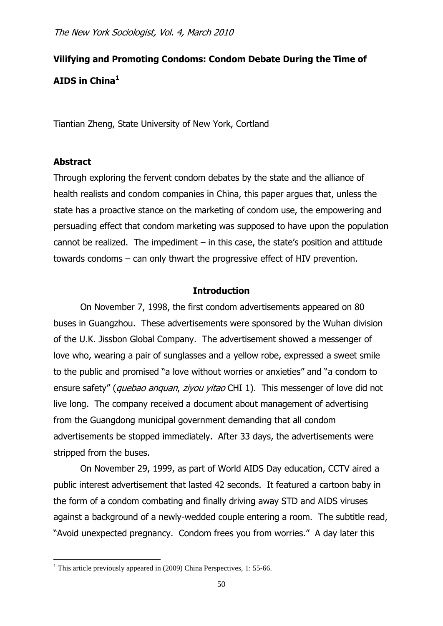# **Vilifying and Promoting Condoms: Condom Debate During the Time of AIDS in China<sup>1</sup>**

Tiantian Zheng, State University of New York, Cortland

# **Abstract**

1

Through exploring the fervent condom debates by the state and the alliance of health realists and condom companies in China, this paper argues that, unless the state has a proactive stance on the marketing of condom use, the empowering and persuading effect that condom marketing was supposed to have upon the population cannot be realized. The impediment  $-$  in this case, the state's position and attitude towards condoms – can only thwart the progressive effect of HIV prevention.

## **Introduction**

On November 7, 1998, the first condom advertisements appeared on 80 buses in Guangzhou. These advertisements were sponsored by the Wuhan division of the U.K. Jissbon Global Company. The advertisement showed a messenger of love who, wearing a pair of sunglasses and a yellow robe, expressed a sweet smile to the public and promised "a love without worries or anxieties" and "a condom to ensure safety" (quebao anquan, ziyou yitao CHI 1). This messenger of love did not live long. The company received a document about management of advertising from the Guangdong municipal government demanding that all condom advertisements be stopped immediately. After 33 days, the advertisements were stripped from the buses.

On November 29, 1999, as part of World AIDS Day education, CCTV aired a public interest advertisement that lasted 42 seconds. It featured a cartoon baby in the form of a condom combating and finally driving away STD and AIDS viruses against a background of a newly-wedded couple entering a room. The subtitle read, "Avoid unexpected pregnancy. Condom frees you from worries." A day later this

<sup>&</sup>lt;sup>1</sup> This article previously appeared in  $(2009)$  China Perspectives, 1: 55-66.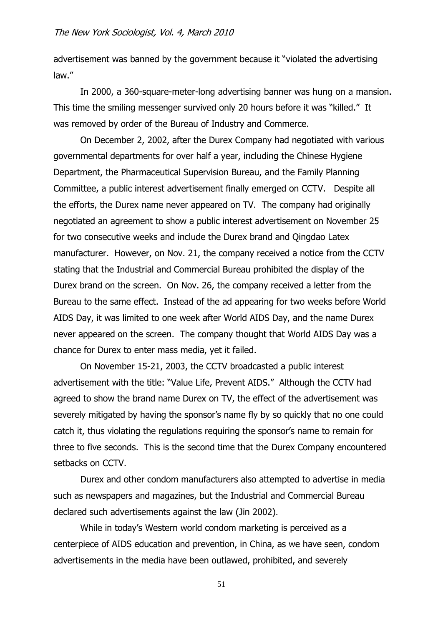advertisement was banned by the government because it "violated the advertising law."

In 2000, a 360-square-meter-long advertising banner was hung on a mansion. This time the smiling messenger survived only 20 hours before it was "killed." It was removed by order of the Bureau of Industry and Commerce.

On December 2, 2002, after the Durex Company had negotiated with various governmental departments for over half a year, including the Chinese Hygiene Department, the Pharmaceutical Supervision Bureau, and the Family Planning Committee, a public interest advertisement finally emerged on CCTV. Despite all the efforts, the Durex name never appeared on TV. The company had originally negotiated an agreement to show a public interest advertisement on November 25 for two consecutive weeks and include the Durex brand and Qingdao Latex manufacturer. However, on Nov. 21, the company received a notice from the CCTV stating that the Industrial and Commercial Bureau prohibited the display of the Durex brand on the screen. On Nov. 26, the company received a letter from the Bureau to the same effect. Instead of the ad appearing for two weeks before World AIDS Day, it was limited to one week after World AIDS Day, and the name Durex never appeared on the screen. The company thought that World AIDS Day was a chance for Durex to enter mass media, yet it failed.

On November 15-21, 2003, the CCTV broadcasted a public interest advertisement with the title: "Value Life, Prevent AIDS." Although the CCTV had agreed to show the brand name Durex on TV, the effect of the advertisement was severely mitigated by having the sponsor's name fly by so quickly that no one could catch it, thus violating the regulations requiring the sponsor's name to remain for three to five seconds. This is the second time that the Durex Company encountered setbacks on CCTV.

Durex and other condom manufacturers also attempted to advertise in media such as newspapers and magazines, but the Industrial and Commercial Bureau declared such advertisements against the law (Jin 2002).

While in today's Western world condom marketing is perceived as a centerpiece of AIDS education and prevention, in China, as we have seen, condom advertisements in the media have been outlawed, prohibited, and severely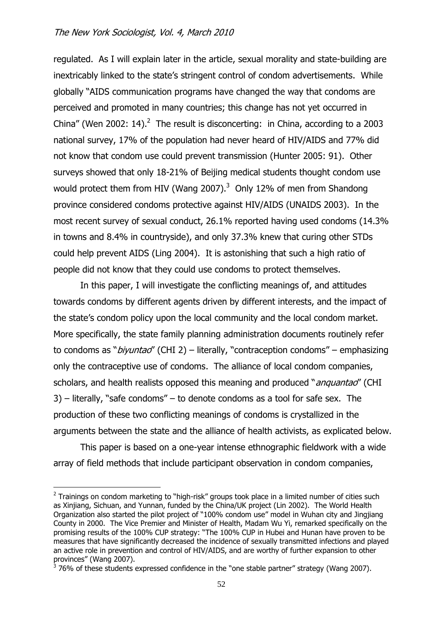regulated. As I will explain later in the article, sexual morality and state-building are inextricably linked to the state's stringent control of condom advertisements. While globally "AIDS communication programs have changed the way that condoms are perceived and promoted in many countries; this change has not yet occurred in China" (Wen 2002: 14).<sup>2</sup> The result is disconcerting: in China, according to a 2003 national survey, 17% of the population had never heard of HIV/AIDS and 77% did not know that condom use could prevent transmission (Hunter 2005: 91). Other surveys showed that only 18-21% of Beijing medical students thought condom use would protect them from HIV (Wang 2007). $3$  Only 12% of men from Shandong province considered condoms protective against HIV/AIDS (UNAIDS 2003). In the most recent survey of sexual conduct, 26.1% reported having used condoms (14.3% in towns and 8.4% in countryside), and only 37.3% knew that curing other STDs could help prevent AIDS (Ling 2004). It is astonishing that such a high ratio of people did not know that they could use condoms to protect themselves.

In this paper, I will investigate the conflicting meanings of, and attitudes towards condoms by different agents driven by different interests, and the impact of the state's condom policy upon the local community and the local condom market. More specifically, the state family planning administration documents routinely refer to condoms as "*biyuntad"* (CHI 2) – literally, "contraception condoms" – emphasizing only the contraceptive use of condoms. The alliance of local condom companies, scholars, and health realists opposed this meaning and produced "*anquantao*" (CHI 3) – literally, "safe condoms" – to denote condoms as a tool for safe sex. The production of these two conflicting meanings of condoms is crystallized in the arguments between the state and the alliance of health activists, as explicated below.

This paper is based on a one-year intense ethnographic fieldwork with a wide array of field methods that include participant observation in condom companies,

 $2$  Trainings on condom marketing to "high-risk" groups took place in a limited number of cities such as Xinjiang, Sichuan, and Yunnan, funded by the China/UK project (Lin 2002). The World Health Organization also started the pilot project of "100% condom use" model in Wuhan city and Jingjiang County in 2000. The Vice Premier and Minister of Health, Madam Wu Yi, remarked specifically on the promising results of the 100% CUP strategy: "The 100% CUP in Hubei and Hunan have proven to be measures that have significantly decreased the incidence of sexually transmitted infections and played an active role in prevention and control of HIV/AIDS, and are worthy of further expansion to other

provinces" (Wang 2007).<br><sup>3</sup> 76% of these students expressed confidence in the "one stable partner" strategy (Wang 2007).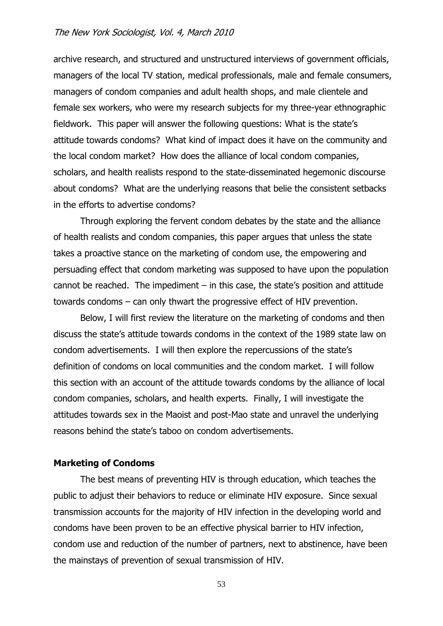archive research, and structured and unstructured interviews of government officials, managers of the local TV station, medical professionals, male and female consumers, managers of condom companies and adult health shops, and male clientele and female sex workers, who were my research subjects for my three-year ethnographic fieldwork. This paper will answer the following questions: What is the state's attitude towards condoms? What kind of impact does it have on the community and the local condom market? How does the alliance of local condom companies, scholars, and health realists respond to the state-disseminated hegemonic discourse about condoms? What are the underlying reasons that belie the consistent setbacks in the efforts to advertise condoms?

Through exploring the fervent condom debates by the state and the alliance of health realists and condom companies, this paper argues that unless the state takes a proactive stance on the marketing of condom use, the empowering and persuading effect that condom marketing was supposed to have upon the population cannot be reached. The impediment  $-$  in this case, the state's position and attitude towards condoms – can only thwart the progressive effect of HIV prevention.

Below, I will first review the literature on the marketing of condoms and then discuss the state's attitude towards condoms in the context of the 1989 state law on condom advertisements. I will then explore the repercussions of the state's definition of condoms on local communities and the condom market. I will follow this section with an account of the attitude towards condoms by the alliance of local condom companies, scholars, and health experts. Finally, I will investigate the attitudes towards sex in the Maoist and post-Mao state and unravel the underlying reasons behind the state's taboo on condom advertisements.

## **Marketing of Condoms**

The best means of preventing HIV is through education, which teaches the public to adjust their behaviors to reduce or eliminate HIV exposure. Since sexual transmission accounts for the majority of HIV infection in the developing world and condoms have been proven to be an effective physical barrier to HIV infection, condom use and reduction of the number of partners, next to abstinence, have been the mainstays of prevention of sexual transmission of HIV.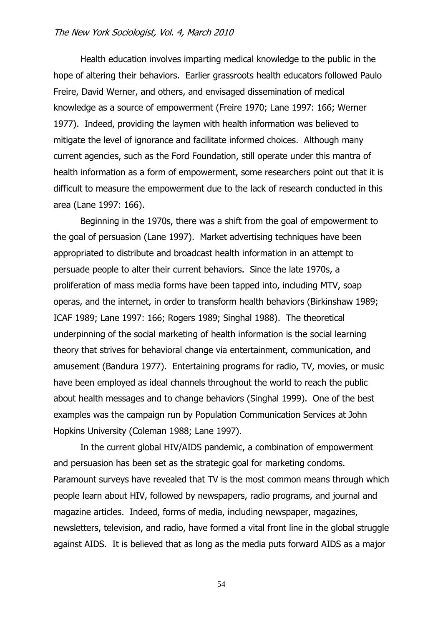Health education involves imparting medical knowledge to the public in the hope of altering their behaviors. Earlier grassroots health educators followed Paulo Freire, David Werner, and others, and envisaged dissemination of medical knowledge as a source of empowerment (Freire 1970; Lane 1997: 166; Werner 1977). Indeed, providing the laymen with health information was believed to mitigate the level of ignorance and facilitate informed choices. Although many current agencies, such as the Ford Foundation, still operate under this mantra of health information as a form of empowerment, some researchers point out that it is difficult to measure the empowerment due to the lack of research conducted in this area (Lane 1997: 166).

Beginning in the 1970s, there was a shift from the goal of empowerment to the goal of persuasion (Lane 1997). Market advertising techniques have been appropriated to distribute and broadcast health information in an attempt to persuade people to alter their current behaviors. Since the late 1970s, a proliferation of mass media forms have been tapped into, including MTV, soap operas, and the internet, in order to transform health behaviors (Birkinshaw 1989; ICAF 1989; Lane 1997: 166; Rogers 1989; Singhal 1988). The theoretical underpinning of the social marketing of health information is the social learning theory that strives for behavioral change via entertainment, communication, and amusement (Bandura 1977). Entertaining programs for radio, TV, movies, or music have been employed as ideal channels throughout the world to reach the public about health messages and to change behaviors (Singhal 1999). One of the best examples was the campaign run by Population Communication Services at John Hopkins University (Coleman 1988; Lane 1997).

In the current global HIV/AIDS pandemic, a combination of empowerment and persuasion has been set as the strategic goal for marketing condoms. Paramount surveys have revealed that TV is the most common means through which people learn about HIV, followed by newspapers, radio programs, and journal and magazine articles. Indeed, forms of media, including newspaper, magazines, newsletters, television, and radio, have formed a vital front line in the global struggle against AIDS. It is believed that as long as the media puts forward AIDS as a major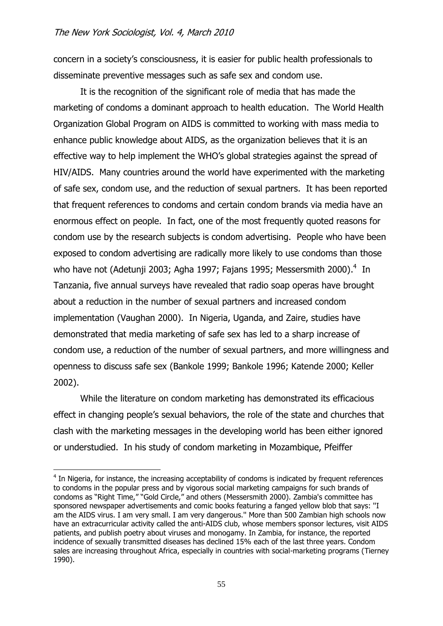concern in a society's consciousness, it is easier for public health professionals to disseminate preventive messages such as safe sex and condom use.

It is the recognition of the significant role of media that has made the marketing of condoms a dominant approach to health education. The World Health Organization Global Program on AIDS is committed to working with mass media to enhance public knowledge about AIDS, as the organization believes that it is an effective way to help implement the WHO's global strategies against the spread of HIV/AIDS. Many countries around the world have experimented with the marketing of safe sex, condom use, and the reduction of sexual partners. It has been reported that frequent references to condoms and certain condom brands via media have an enormous effect on people. In fact, one of the most frequently quoted reasons for condom use by the research subjects is condom advertising. People who have been exposed to condom advertising are radically more likely to use condoms than those who have not (Adetunji 2003; Agha 1997; Fajans 1995; Messersmith 2000). $4$  In Tanzania, five annual surveys have revealed that radio soap operas have brought about a reduction in the number of sexual partners and increased condom implementation (Vaughan 2000). In Nigeria, Uganda, and Zaire, studies have demonstrated that media marketing of safe sex has led to a sharp increase of condom use, a reduction of the number of sexual partners, and more willingness and openness to discuss safe sex (Bankole 1999; Bankole 1996; Katende 2000; Keller 2002).

While the literature on condom marketing has demonstrated its efficacious effect in changing people's sexual behaviors, the role of the state and churches that clash with the marketing messages in the developing world has been either ignored or understudied. In his study of condom marketing in Mozambique, Pfeiffer

<sup>&</sup>lt;sup>4</sup> In Nigeria, for instance, the increasing acceptability of condoms is indicated by frequent references to condoms in the popular press and by vigorous social marketing campaigns for such brands of condoms as "Right Time," "Gold Circle," and others (Messersmith 2000). Zambia's committee has sponsored newspaper advertisements and comic books featuring a fanged yellow blob that says: ''I am the AIDS virus. I am very small. I am very dangerous.'' More than 500 Zambian high schools now have an extracurricular activity called the anti-AIDS club, whose members sponsor lectures, visit AIDS patients, and publish poetry about viruses and monogamy. In Zambia, for instance, the reported incidence of sexually transmitted diseases has declined 15% each of the last three years. Condom sales are increasing throughout Africa, especially in countries with social-marketing programs (Tierney 1990).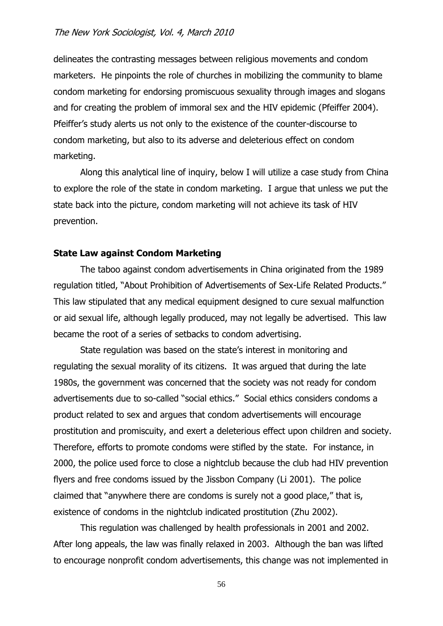delineates the contrasting messages between religious movements and condom marketers. He pinpoints the role of churches in mobilizing the community to blame condom marketing for endorsing promiscuous sexuality through images and slogans and for creating the problem of immoral sex and the HIV epidemic (Pfeiffer 2004). Pfeiffer's study alerts us not only to the existence of the counter-discourse to condom marketing, but also to its adverse and deleterious effect on condom marketing.

Along this analytical line of inquiry, below I will utilize a case study from China to explore the role of the state in condom marketing. I argue that unless we put the state back into the picture, condom marketing will not achieve its task of HIV prevention.

## **State Law against Condom Marketing**

The taboo against condom advertisements in China originated from the 1989 regulation titled, "About Prohibition of Advertisements of Sex-Life Related Products." This law stipulated that any medical equipment designed to cure sexual malfunction or aid sexual life, although legally produced, may not legally be advertised. This law became the root of a series of setbacks to condom advertising.

State regulation was based on the state's interest in monitoring and regulating the sexual morality of its citizens. It was argued that during the late 1980s, the government was concerned that the society was not ready for condom advertisements due to so-called "social ethics." Social ethics considers condoms a product related to sex and argues that condom advertisements will encourage prostitution and promiscuity, and exert a deleterious effect upon children and society. Therefore, efforts to promote condoms were stifled by the state. For instance, in 2000, the police used force to close a nightclub because the club had HIV prevention flyers and free condoms issued by the Jissbon Company (Li 2001). The police claimed that "anywhere there are condoms is surely not a good place," that is, existence of condoms in the nightclub indicated prostitution (Zhu 2002).

This regulation was challenged by health professionals in 2001 and 2002. After long appeals, the law was finally relaxed in 2003. Although the ban was lifted to encourage nonprofit condom advertisements, this change was not implemented in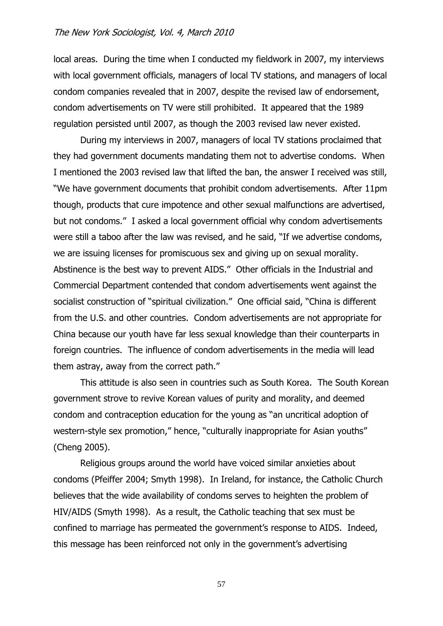local areas. During the time when I conducted my fieldwork in 2007, my interviews with local government officials, managers of local TV stations, and managers of local condom companies revealed that in 2007, despite the revised law of endorsement, condom advertisements on TV were still prohibited. It appeared that the 1989 regulation persisted until 2007, as though the 2003 revised law never existed.

During my interviews in 2007, managers of local TV stations proclaimed that they had government documents mandating them not to advertise condoms. When I mentioned the 2003 revised law that lifted the ban, the answer I received was still, "We have government documents that prohibit condom advertisements. After 11pm though, products that cure impotence and other sexual malfunctions are advertised, but not condoms." I asked a local government official why condom advertisements were still a taboo after the law was revised, and he said, "If we advertise condoms, we are issuing licenses for promiscuous sex and giving up on sexual morality. Abstinence is the best way to prevent AIDS." Other officials in the Industrial and Commercial Department contended that condom advertisements went against the socialist construction of "spiritual civilization." One official said, "China is different from the U.S. and other countries. Condom advertisements are not appropriate for China because our youth have far less sexual knowledge than their counterparts in foreign countries. The influence of condom advertisements in the media will lead them astray, away from the correct path."

This attitude is also seen in countries such as South Korea. The South Korean government strove to revive Korean values of purity and morality, and deemed condom and contraception education for the young as "an uncritical adoption of western-style sex promotion," hence, "culturally inappropriate for Asian youths" (Cheng 2005).

Religious groups around the world have voiced similar anxieties about condoms (Pfeiffer 2004; Smyth 1998). In Ireland, for instance, the Catholic Church believes that the wide availability of condoms serves to heighten the problem of HIV/AIDS (Smyth 1998). As a result, the Catholic teaching that sex must be confined to marriage has permeated the government's response to AIDS. Indeed, this message has been reinforced not only in the government's advertising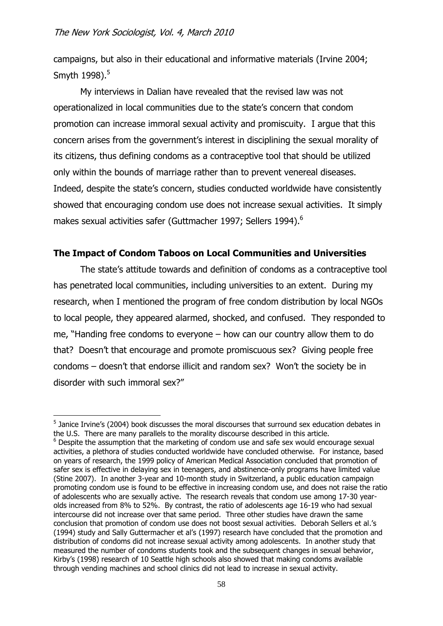<u>.</u>

campaigns, but also in their educational and informative materials (Irvine 2004; Smyth 1998).<sup>5</sup>

My interviews in Dalian have revealed that the revised law was not operationalized in local communities due to the state's concern that condom promotion can increase immoral sexual activity and promiscuity. I argue that this concern arises from the government's interest in disciplining the sexual morality of its citizens, thus defining condoms as a contraceptive tool that should be utilized only within the bounds of marriage rather than to prevent venereal diseases. Indeed, despite the state's concern, studies conducted worldwide have consistently showed that encouraging condom use does not increase sexual activities. It simply makes sexual activities safer (Guttmacher 1997; Sellers 1994).<sup>6</sup>

# **The Impact of Condom Taboos on Local Communities and Universities**

The state's attitude towards and definition of condoms as a contraceptive tool has penetrated local communities, including universities to an extent. During my research, when I mentioned the program of free condom distribution by local NGOs to local people, they appeared alarmed, shocked, and confused. They responded to me, "Handing free condoms to everyone – how can our country allow them to do that? Doesn't that encourage and promote promiscuous sex? Giving people free condoms – doesn't that endorse illicit and random sex? Won't the society be in disorder with such immoral sex?"

<sup>&</sup>lt;sup>5</sup> Janice Irvine's (2004) book discusses the moral discourses that surround sex education debates in the U.S. There are many parallels to the morality discourse described in this article. <sup>6</sup> Despite the assumption that the marketing of condom use and safe sex would encourage sexual activities, a plethora of studies conducted worldwide have concluded otherwise. For instance, based on years of research, the 1999 policy of American Medical Association concluded that promotion of safer sex is effective in delaying sex in teenagers, and abstinence-only programs have limited value (Stine 2007). In another 3-year and 10-month study in Switzerland, a public education campaign promoting condom use is found to be effective in increasing condom use, and does not raise the ratio of adolescents who are sexually active. The research reveals that condom use among 17-30 yearolds increased from 8% to 52%. By contrast, the ratio of adolescents age 16-19 who had sexual intercourse did not increase over that same period. Three other studies have drawn the same conclusion that promotion of condom use does not boost sexual activities. Deborah Sellers et al.'s (1994) study and Sally Guttermacher et al's (1997) research have concluded that the promotion and distribution of condoms did not increase sexual activity among adolescents. In another study that measured the number of condoms students took and the subsequent changes in sexual behavior, Kirby's (1998) research of 10 Seattle high schools also showed that making condoms available through vending machines and school clinics did not lead to increase in sexual activity.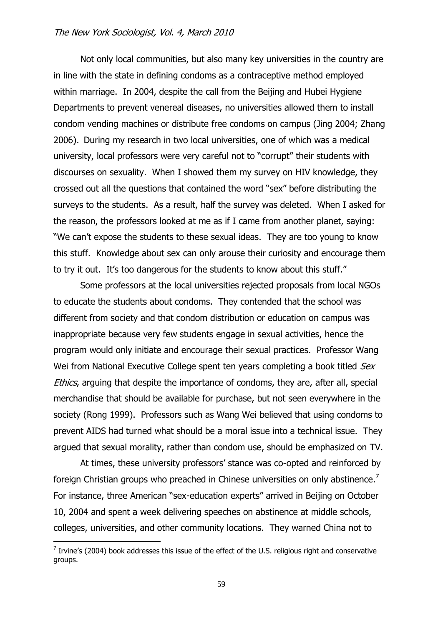Not only local communities, but also many key universities in the country are in line with the state in defining condoms as a contraceptive method employed within marriage. In 2004, despite the call from the Beijing and Hubei Hygiene Departments to prevent venereal diseases, no universities allowed them to install condom vending machines or distribute free condoms on campus (Jing 2004; Zhang 2006). During my research in two local universities, one of which was a medical university, local professors were very careful not to "corrupt" their students with discourses on sexuality. When I showed them my survey on HIV knowledge, they crossed out all the questions that contained the word "sex" before distributing the surveys to the students. As a result, half the survey was deleted. When I asked for the reason, the professors looked at me as if I came from another planet, saying: "We can't expose the students to these sexual ideas. They are too young to know this stuff. Knowledge about sex can only arouse their curiosity and encourage them to try it out. It's too dangerous for the students to know about this stuff."

Some professors at the local universities rejected proposals from local NGOs to educate the students about condoms. They contended that the school was different from society and that condom distribution or education on campus was inappropriate because very few students engage in sexual activities, hence the program would only initiate and encourage their sexual practices. Professor Wang Wei from National Executive College spent ten years completing a book titled Sex Ethics, arguing that despite the importance of condoms, they are, after all, special merchandise that should be available for purchase, but not seen everywhere in the society (Rong 1999). Professors such as Wang Wei believed that using condoms to prevent AIDS had turned what should be a moral issue into a technical issue. They argued that sexual morality, rather than condom use, should be emphasized on TV.

At times, these university professors' stance was co-opted and reinforced by foreign Christian groups who preached in Chinese universities on only abstinence.<sup>7</sup> For instance, three American "sex-education experts" arrived in Beijing on October 10, 2004 and spent a week delivering speeches on abstinence at middle schools, colleges, universities, and other community locations. They warned China not to

 $<sup>7</sup>$  Irvine's (2004) book addresses this issue of the effect of the U.S. religious right and conservative</sup> groups.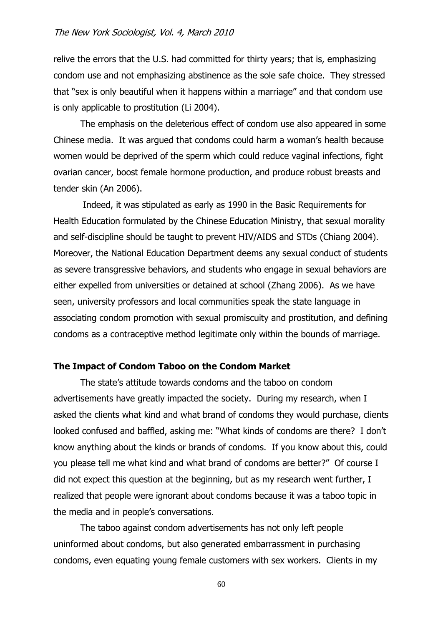relive the errors that the U.S. had committed for thirty years; that is, emphasizing condom use and not emphasizing abstinence as the sole safe choice. They stressed that "sex is only beautiful when it happens within a marriage" and that condom use is only applicable to prostitution (Li 2004).

The emphasis on the deleterious effect of condom use also appeared in some Chinese media. It was argued that condoms could harm a woman's health because women would be deprived of the sperm which could reduce vaginal infections, fight ovarian cancer, boost female hormone production, and produce robust breasts and tender skin (An 2006).

Indeed, it was stipulated as early as 1990 in the Basic Requirements for Health Education formulated by the Chinese Education Ministry, that sexual morality and self-discipline should be taught to prevent HIV/AIDS and STDs (Chiang 2004). Moreover, the National Education Department deems any sexual conduct of students as severe transgressive behaviors, and students who engage in sexual behaviors are either expelled from universities or detained at school (Zhang 2006). As we have seen, university professors and local communities speak the state language in associating condom promotion with sexual promiscuity and prostitution, and defining condoms as a contraceptive method legitimate only within the bounds of marriage.

## **The Impact of Condom Taboo on the Condom Market**

The state's attitude towards condoms and the taboo on condom advertisements have greatly impacted the society. During my research, when I asked the clients what kind and what brand of condoms they would purchase, clients looked confused and baffled, asking me: "What kinds of condoms are there? I don't know anything about the kinds or brands of condoms. If you know about this, could you please tell me what kind and what brand of condoms are better?" Of course I did not expect this question at the beginning, but as my research went further, I realized that people were ignorant about condoms because it was a taboo topic in the media and in people's conversations.

The taboo against condom advertisements has not only left people uninformed about condoms, but also generated embarrassment in purchasing condoms, even equating young female customers with sex workers. Clients in my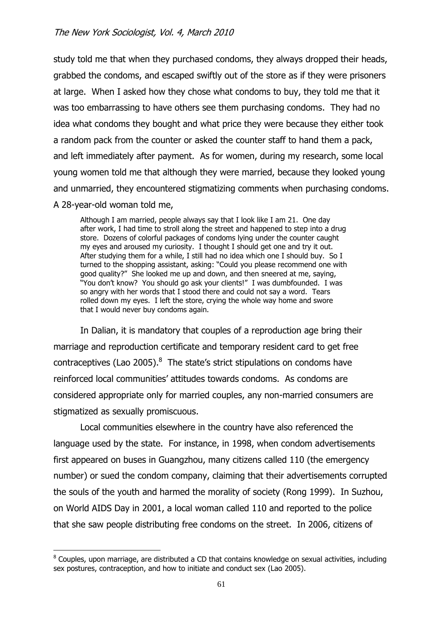study told me that when they purchased condoms, they always dropped their heads, grabbed the condoms, and escaped swiftly out of the store as if they were prisoners at large. When I asked how they chose what condoms to buy, they told me that it was too embarrassing to have others see them purchasing condoms. They had no idea what condoms they bought and what price they were because they either took a random pack from the counter or asked the counter staff to hand them a pack, and left immediately after payment. As for women, during my research, some local young women told me that although they were married, because they looked young and unmarried, they encountered stigmatizing comments when purchasing condoms. A 28-year-old woman told me,

Although I am married, people always say that I look like I am 21. One day after work, I had time to stroll along the street and happened to step into a drug store. Dozens of colorful packages of condoms lying under the counter caught my eyes and aroused my curiosity. I thought I should get one and try it out. After studying them for a while, I still had no idea which one I should buy. So I turned to the shopping assistant, asking: "Could you please recommend one with good quality?" She looked me up and down, and then sneered at me, saying, "You don't know? You should go ask your clients!" I was dumbfounded. I was so angry with her words that I stood there and could not say a word. Tears rolled down my eyes. I left the store, crying the whole way home and swore that I would never buy condoms again.

In Dalian, it is mandatory that couples of a reproduction age bring their marriage and reproduction certificate and temporary resident card to get free contraceptives (Lao 2005). $8$  The state's strict stipulations on condoms have reinforced local communities' attitudes towards condoms. As condoms are considered appropriate only for married couples, any non-married consumers are stigmatized as sexually promiscuous.

Local communities elsewhere in the country have also referenced the language used by the state. For instance, in 1998, when condom advertisements first appeared on buses in Guangzhou, many citizens called 110 (the emergency number) or sued the condom company, claiming that their advertisements corrupted the souls of the youth and harmed the morality of society (Rong 1999). In Suzhou, on World AIDS Day in 2001, a local woman called 110 and reported to the police that she saw people distributing free condoms on the street. In 2006, citizens of

<u>.</u>

<sup>&</sup>lt;sup>8</sup> Couples, upon marriage, are distributed a CD that contains knowledge on sexual activities, including sex postures, contraception, and how to initiate and conduct sex (Lao 2005).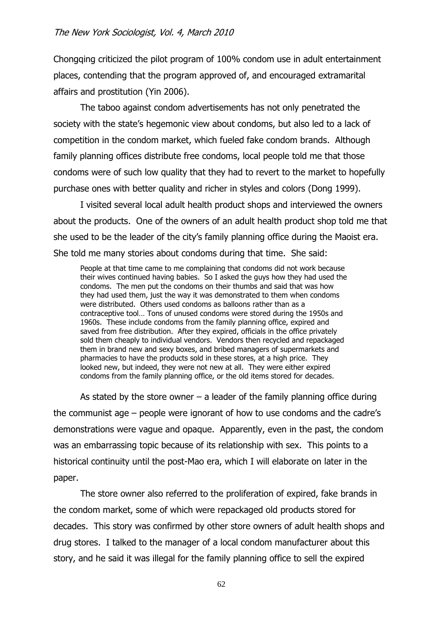Chongqing criticized the pilot program of 100% condom use in adult entertainment places, contending that the program approved of, and encouraged extramarital affairs and prostitution (Yin 2006).

The taboo against condom advertisements has not only penetrated the society with the state's hegemonic view about condoms, but also led to a lack of competition in the condom market, which fueled fake condom brands. Although family planning offices distribute free condoms, local people told me that those condoms were of such low quality that they had to revert to the market to hopefully purchase ones with better quality and richer in styles and colors (Dong 1999).

I visited several local adult health product shops and interviewed the owners about the products. One of the owners of an adult health product shop told me that she used to be the leader of the city's family planning office during the Maoist era. She told me many stories about condoms during that time. She said:

People at that time came to me complaining that condoms did not work because their wives continued having babies. So I asked the guys how they had used the condoms. The men put the condoms on their thumbs and said that was how they had used them, just the way it was demonstrated to them when condoms were distributed. Others used condoms as balloons rather than as a contraceptive tool… Tons of unused condoms were stored during the 1950s and 1960s. These include condoms from the family planning office, expired and saved from free distribution. After they expired, officials in the office privately sold them cheaply to individual vendors. Vendors then recycled and repackaged them in brand new and sexy boxes, and bribed managers of supermarkets and pharmacies to have the products sold in these stores, at a high price. They looked new, but indeed, they were not new at all. They were either expired condoms from the family planning office, or the old items stored for decades.

As stated by the store owner  $-$  a leader of the family planning office during the communist age – people were ignorant of how to use condoms and the cadre's demonstrations were vague and opaque. Apparently, even in the past, the condom was an embarrassing topic because of its relationship with sex. This points to a historical continuity until the post-Mao era, which I will elaborate on later in the paper.

The store owner also referred to the proliferation of expired, fake brands in the condom market, some of which were repackaged old products stored for decades. This story was confirmed by other store owners of adult health shops and drug stores. I talked to the manager of a local condom manufacturer about this story, and he said it was illegal for the family planning office to sell the expired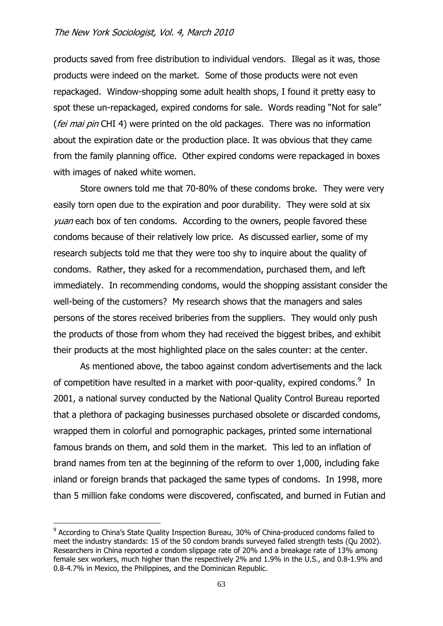products saved from free distribution to individual vendors. Illegal as it was, those products were indeed on the market. Some of those products were not even repackaged. Window-shopping some adult health shops, I found it pretty easy to spot these un-repackaged, expired condoms for sale. Words reading "Not for sale" (*fei mai pin* CHI 4) were printed on the old packages. There was no information about the expiration date or the production place. It was obvious that they came from the family planning office. Other expired condoms were repackaged in boxes with images of naked white women.

Store owners told me that 70-80% of these condoms broke. They were very easily torn open due to the expiration and poor durability. They were sold at six *yuan* each box of ten condoms. According to the owners, people favored these condoms because of their relatively low price. As discussed earlier, some of my research subjects told me that they were too shy to inquire about the quality of condoms. Rather, they asked for a recommendation, purchased them, and left immediately. In recommending condoms, would the shopping assistant consider the well-being of the customers? My research shows that the managers and sales persons of the stores received briberies from the suppliers. They would only push the products of those from whom they had received the biggest bribes, and exhibit their products at the most highlighted place on the sales counter: at the center.

As mentioned above, the taboo against condom advertisements and the lack of competition have resulted in a market with poor-quality, expired condoms. $9\,$  In 2001, a national survey conducted by the National Quality Control Bureau reported that a plethora of packaging businesses purchased obsolete or discarded condoms, wrapped them in colorful and pornographic packages, printed some international famous brands on them, and sold them in the market. This led to an inflation of brand names from ten at the beginning of the reform to over 1,000, including fake inland or foreign brands that packaged the same types of condoms. In 1998, more than 5 million fake condoms were discovered, confiscated, and burned in Futian and

<sup>&</sup>lt;sup>9</sup> According to China's State Quality Inspection Bureau, 30% of China-produced condoms failed to meet the industry standards: 15 of the 50 condom brands surveyed failed strength tests (Qu 2002). Researchers in China reported a condom slippage rate of 20% and a breakage rate of 13% among female sex workers, much higher than the respectively 2% and 1.9% in the U.S., and 0.8-1.9% and 0.8-4.7% in Mexico, the Philippines, and the Dominican Republic.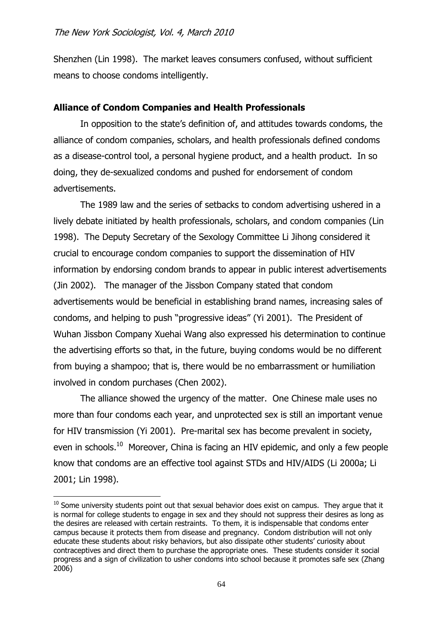Shenzhen (Lin 1998). The market leaves consumers confused, without sufficient means to choose condoms intelligently.

# **Alliance of Condom Companies and Health Professionals**

In opposition to the state's definition of, and attitudes towards condoms, the alliance of condom companies, scholars, and health professionals defined condoms as a disease-control tool, a personal hygiene product, and a health product. In so doing, they de-sexualized condoms and pushed for endorsement of condom advertisements.

The 1989 law and the series of setbacks to condom advertising ushered in a lively debate initiated by health professionals, scholars, and condom companies (Lin 1998). The Deputy Secretary of the Sexology Committee Li Jihong considered it crucial to encourage condom companies to support the dissemination of HIV information by endorsing condom brands to appear in public interest advertisements (Jin 2002). The manager of the Jissbon Company stated that condom advertisements would be beneficial in establishing brand names, increasing sales of condoms, and helping to push "progressive ideas" (Yi 2001). The President of Wuhan Jissbon Company Xuehai Wang also expressed his determination to continue the advertising efforts so that, in the future, buying condoms would be no different from buying a shampoo; that is, there would be no embarrassment or humiliation involved in condom purchases (Chen 2002).

The alliance showed the urgency of the matter. One Chinese male uses no more than four condoms each year, and unprotected sex is still an important venue for HIV transmission (Yi 2001). Pre-marital sex has become prevalent in society, even in schools.<sup>10</sup> Moreover, China is facing an HIV epidemic, and only a few people know that condoms are an effective tool against STDs and HIV/AIDS (Li 2000a; Li 2001; Lin 1998).

 $10$  Some university students point out that sexual behavior does exist on campus. They argue that it is normal for college students to engage in sex and they should not suppress their desires as long as the desires are released with certain restraints. To them, it is indispensable that condoms enter campus because it protects them from disease and pregnancy. Condom distribution will not only educate these students about risky behaviors, but also dissipate other students' curiosity about contraceptives and direct them to purchase the appropriate ones. These students consider it social progress and a sign of civilization to usher condoms into school because it promotes safe sex (Zhang 2006)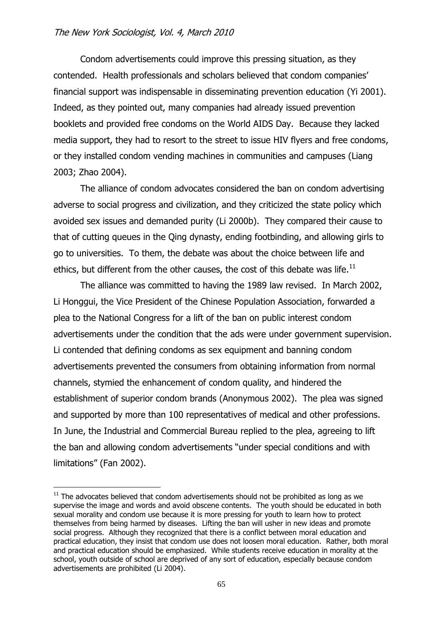Condom advertisements could improve this pressing situation, as they contended. Health professionals and scholars believed that condom companies' financial support was indispensable in disseminating prevention education (Yi 2001). Indeed, as they pointed out, many companies had already issued prevention booklets and provided free condoms on the World AIDS Day. Because they lacked media support, they had to resort to the street to issue HIV flyers and free condoms, or they installed condom vending machines in communities and campuses (Liang 2003; Zhao 2004).

The alliance of condom advocates considered the ban on condom advertising adverse to social progress and civilization, and they criticized the state policy which avoided sex issues and demanded purity (Li 2000b). They compared their cause to that of cutting queues in the Qing dynasty, ending footbinding, and allowing girls to go to universities. To them, the debate was about the choice between life and ethics, but different from the other causes, the cost of this debate was life. $^{11}$ 

The alliance was committed to having the 1989 law revised. In March 2002, Li Honggui, the Vice President of the Chinese Population Association, forwarded a plea to the National Congress for a lift of the ban on public interest condom advertisements under the condition that the ads were under government supervision. Li contended that defining condoms as sex equipment and banning condom advertisements prevented the consumers from obtaining information from normal channels, stymied the enhancement of condom quality, and hindered the establishment of superior condom brands (Anonymous 2002). The plea was signed and supported by more than 100 representatives of medical and other professions. In June, the Industrial and Commercial Bureau replied to the plea, agreeing to lift the ban and allowing condom advertisements "under special conditions and with limitations" (Fan 2002).

 $11$  The advocates believed that condom advertisements should not be prohibited as long as we supervise the image and words and avoid obscene contents. The youth should be educated in both sexual morality and condom use because it is more pressing for youth to learn how to protect themselves from being harmed by diseases. Lifting the ban will usher in new ideas and promote social progress. Although they recognized that there is a conflict between moral education and practical education, they insist that condom use does not loosen moral education. Rather, both moral and practical education should be emphasized. While students receive education in morality at the school, youth outside of school are deprived of any sort of education, especially because condom advertisements are prohibited (Li 2004).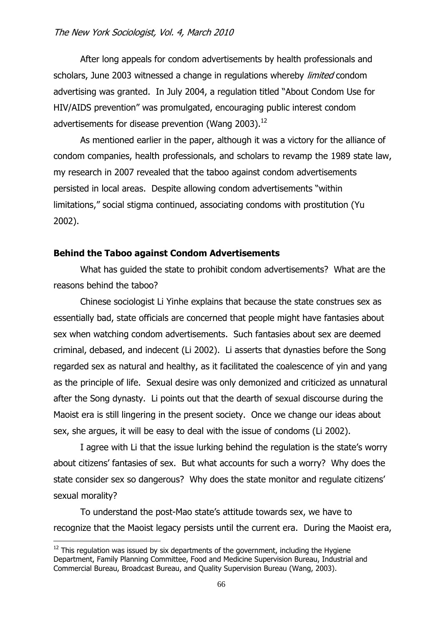After long appeals for condom advertisements by health professionals and scholars, June 2003 witnessed a change in regulations whereby *limited* condom advertising was granted. In July 2004, a regulation titled "About Condom Use for HIV/AIDS prevention" was promulgated, encouraging public interest condom advertisements for disease prevention (Wang 2003).<sup>12</sup>

As mentioned earlier in the paper, although it was a victory for the alliance of condom companies, health professionals, and scholars to revamp the 1989 state law, my research in 2007 revealed that the taboo against condom advertisements persisted in local areas. Despite allowing condom advertisements "within limitations," social stigma continued, associating condoms with prostitution (Yu 2002).

# **Behind the Taboo against Condom Advertisements**

What has guided the state to prohibit condom advertisements? What are the reasons behind the taboo?

Chinese sociologist Li Yinhe explains that because the state construes sex as essentially bad, state officials are concerned that people might have fantasies about sex when watching condom advertisements. Such fantasies about sex are deemed criminal, debased, and indecent (Li 2002). Li asserts that dynasties before the Song regarded sex as natural and healthy, as it facilitated the coalescence of yin and yang as the principle of life. Sexual desire was only demonized and criticized as unnatural after the Song dynasty. Li points out that the dearth of sexual discourse during the Maoist era is still lingering in the present society. Once we change our ideas about sex, she argues, it will be easy to deal with the issue of condoms (Li 2002).

I agree with Li that the issue lurking behind the regulation is the state's worry about citizens' fantasies of sex. But what accounts for such a worry? Why does the state consider sex so dangerous? Why does the state monitor and regulate citizens' sexual morality?

To understand the post-Mao state's attitude towards sex, we have to recognize that the Maoist legacy persists until the current era. During the Maoist era,

 $12$  This regulation was issued by six departments of the government, including the Hygiene Department, Family Planning Committee, Food and Medicine Supervision Bureau, Industrial and Commercial Bureau, Broadcast Bureau, and Quality Supervision Bureau (Wang, 2003).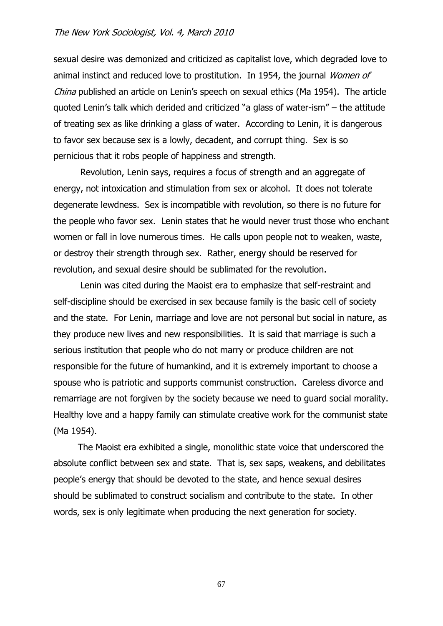sexual desire was demonized and criticized as capitalist love, which degraded love to animal instinct and reduced love to prostitution. In 1954, the journal Women of China published an article on Lenin's speech on sexual ethics (Ma 1954). The article quoted Lenin's talk which derided and criticized "a glass of water-ism" – the attitude of treating sex as like drinking a glass of water. According to Lenin, it is dangerous to favor sex because sex is a lowly, decadent, and corrupt thing. Sex is so pernicious that it robs people of happiness and strength.

Revolution, Lenin says, requires a focus of strength and an aggregate of energy, not intoxication and stimulation from sex or alcohol. It does not tolerate degenerate lewdness. Sex is incompatible with revolution, so there is no future for the people who favor sex. Lenin states that he would never trust those who enchant women or fall in love numerous times. He calls upon people not to weaken, waste, or destroy their strength through sex. Rather, energy should be reserved for revolution, and sexual desire should be sublimated for the revolution.

Lenin was cited during the Maoist era to emphasize that self-restraint and self-discipline should be exercised in sex because family is the basic cell of society and the state. For Lenin, marriage and love are not personal but social in nature, as they produce new lives and new responsibilities. It is said that marriage is such a serious institution that people who do not marry or produce children are not responsible for the future of humankind, and it is extremely important to choose a spouse who is patriotic and supports communist construction. Careless divorce and remarriage are not forgiven by the society because we need to guard social morality. Healthy love and a happy family can stimulate creative work for the communist state (Ma 1954).

The Maoist era exhibited a single, monolithic state voice that underscored the absolute conflict between sex and state. That is, sex saps, weakens, and debilitates people's energy that should be devoted to the state, and hence sexual desires should be sublimated to construct socialism and contribute to the state. In other words, sex is only legitimate when producing the next generation for society.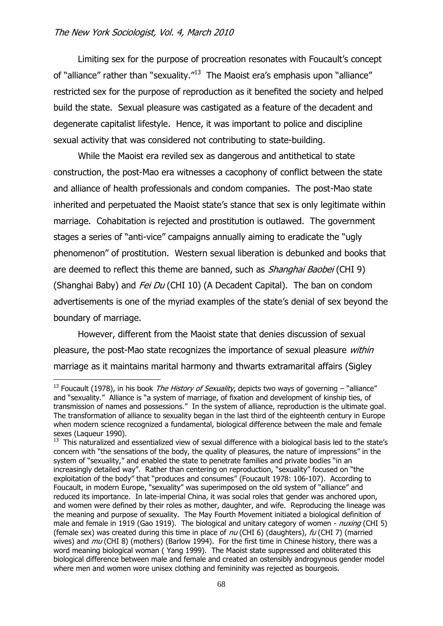1

Limiting sex for the purpose of procreation resonates with Foucault's concept of "alliance" rather than "sexuality."<sup>13</sup> The Maoist era's emphasis upon "alliance" restricted sex for the purpose of reproduction as it benefited the society and helped build the state. Sexual pleasure was castigated as a feature of the decadent and degenerate capitalist lifestyle. Hence, it was important to police and discipline sexual activity that was considered not contributing to state-building.

While the Maoist era reviled sex as dangerous and antithetical to state construction, the post-Mao era witnesses a cacophony of conflict between the state and alliance of health professionals and condom companies. The post-Mao state inherited and perpetuated the Maoist state's stance that sex is only legitimate within marriage. Cohabitation is rejected and prostitution is outlawed. The government stages a series of "anti-vice" campaigns annually aiming to eradicate the "ugly phenomenon" of prostitution. Western sexual liberation is debunked and books that are deemed to reflect this theme are banned, such as *Shanghai Baobei* (CHI 9) (Shanghai Baby) and *Fei Du* (CHI 10) (A Decadent Capital). The ban on condom advertisements is one of the myriad examples of the state's denial of sex beyond the boundary of marriage.

However, different from the Maoist state that denies discussion of sexual pleasure, the post-Mao state recognizes the importance of sexual pleasure *within* marriage as it maintains marital harmony and thwarts extramarital affairs (Sigley

<sup>&</sup>lt;sup>13</sup> Foucault (1978), in his book *The History of Sexuality*, depicts two ways of governing – "alliance" and "sexuality." Alliance is "a system of marriage, of fixation and development of kinship ties, of transmission of names and possessions." In the system of alliance, reproduction is the ultimate goal. The transformation of alliance to sexuality began in the last third of the eighteenth century in Europe when modern science recognized a fundamental, biological difference between the male and female sexes (Laqueur 1990).

 $13$  This naturalized and essentialized view of sexual difference with a biological basis led to the state's concern with "the sensations of the body, the quality of pleasures, the nature of impressions" in the system of "sexuality," and enabled the state to penetrate families and private bodies "in an increasingly detailed way". Rather than centering on reproduction, "sexuality" focused on "the exploitation of the body" that "produces and consumes" (Foucault 1978: 106-107). According to Foucault, in modern Europe, "sexuality" was superimposed on the old system of "alliance" and reduced its importance. In late-imperial China, it was social roles that gender was anchored upon, and women were defined by their roles as mother, daughter, and wife. Reproducing the lineage was the meaning and purpose of sexuality. The May Fourth Movement initiated a biological definition of male and female in 1919 (Gao 1919). The biological and unitary category of women - nuxing (CHI 5) (female sex) was created during this time in place of  $nu$  (CHI 6) (daughters),  $\nu$  (CHI 7) (married wives) and  $mu$  (CHI 8) (mothers) (Barlow 1994). For the first time in Chinese history, there was a word meaning biological woman ( Yang 1999). The Maoist state suppressed and obliterated this biological difference between male and female and created an ostensibly androgynous gender model where men and women wore unisex clothing and femininity was rejected as bourgeois.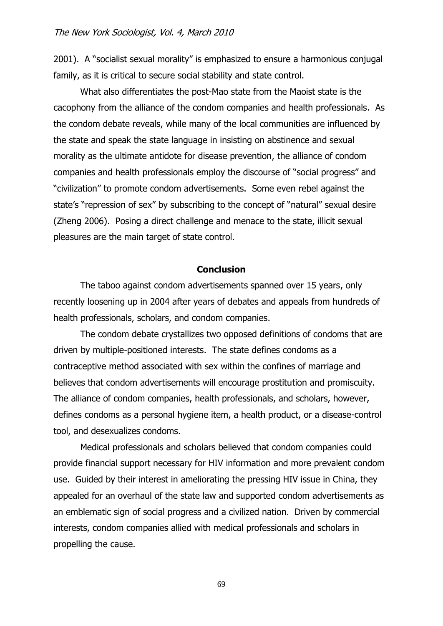2001). A "socialist sexual morality" is emphasized to ensure a harmonious conjugal family, as it is critical to secure social stability and state control.

What also differentiates the post-Mao state from the Maoist state is the cacophony from the alliance of the condom companies and health professionals. As the condom debate reveals, while many of the local communities are influenced by the state and speak the state language in insisting on abstinence and sexual morality as the ultimate antidote for disease prevention, the alliance of condom companies and health professionals employ the discourse of "social progress" and "civilization" to promote condom advertisements. Some even rebel against the state's "repression of sex" by subscribing to the concept of "natural" sexual desire (Zheng 2006). Posing a direct challenge and menace to the state, illicit sexual pleasures are the main target of state control.

## **Conclusion**

The taboo against condom advertisements spanned over 15 years, only recently loosening up in 2004 after years of debates and appeals from hundreds of health professionals, scholars, and condom companies.

The condom debate crystallizes two opposed definitions of condoms that are driven by multiple-positioned interests. The state defines condoms as a contraceptive method associated with sex within the confines of marriage and believes that condom advertisements will encourage prostitution and promiscuity. The alliance of condom companies, health professionals, and scholars, however, defines condoms as a personal hygiene item, a health product, or a disease-control tool, and desexualizes condoms.

Medical professionals and scholars believed that condom companies could provide financial support necessary for HIV information and more prevalent condom use. Guided by their interest in ameliorating the pressing HIV issue in China, they appealed for an overhaul of the state law and supported condom advertisements as an emblematic sign of social progress and a civilized nation. Driven by commercial interests, condom companies allied with medical professionals and scholars in propelling the cause.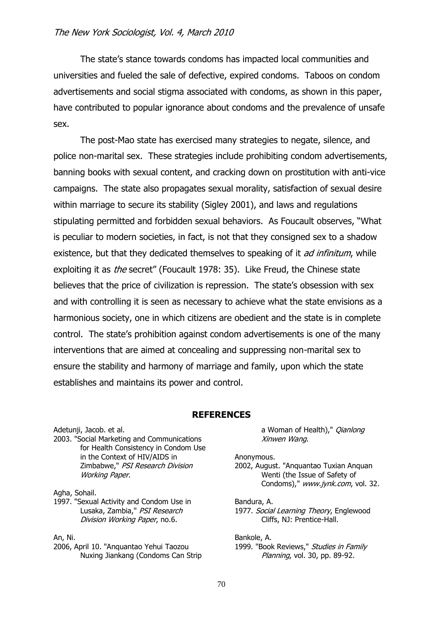The state's stance towards condoms has impacted local communities and universities and fueled the sale of defective, expired condoms. Taboos on condom advertisements and social stigma associated with condoms, as shown in this paper, have contributed to popular ignorance about condoms and the prevalence of unsafe sex.

The post-Mao state has exercised many strategies to negate, silence, and police non-marital sex. These strategies include prohibiting condom advertisements, banning books with sexual content, and cracking down on prostitution with anti-vice campaigns. The state also propagates sexual morality, satisfaction of sexual desire within marriage to secure its stability (Sigley 2001), and laws and regulations stipulating permitted and forbidden sexual behaviors. As Foucault observes, "What is peculiar to modern societies, in fact, is not that they consigned sex to a shadow existence, but that they dedicated themselves to speaking of it *ad infinitum*, while exploiting it as *the* secret" (Foucault 1978: 35). Like Freud, the Chinese state believes that the price of civilization is repression. The state's obsession with sex and with controlling it is seen as necessary to achieve what the state envisions as a harmonious society, one in which citizens are obedient and the state is in complete control. The state's prohibition against condom advertisements is one of the many interventions that are aimed at concealing and suppressing non-marital sex to ensure the stability and harmony of marriage and family, upon which the state establishes and maintains its power and control.

## **REFERENCES**

Adetunji, Jacob. et al. 2003. "Social Marketing and Communications for Health Consistency in Condom Use in the Context of HIV/AIDS in Zimbabwe," PSI Research Division Working Paper.

Agha, Sohail.

1997. "Sexual Activity and Condom Use in Lusaka, Zambia," PSI Research Division Working Paper, no.6.

An, Ni.

2006, April 10. "Anquantao Yehui Taozou Nuxing Jiankang (Condoms Can Strip a Woman of Health)," *Qianlong* Xinwen Wang.

Anonymous.

2002, August. "Anquantao Tuxian Anquan Wenti (the Issue of Safety of Condoms)," www.jynk.com, vol. 32.

Bandura, A. 1977. Social Learning Theory, Englewood Cliffs, NJ: Prentice-Hall.

Bankole, A.

1999. "Book Reviews," Studies in Family Planning, vol. 30, pp. 89-92.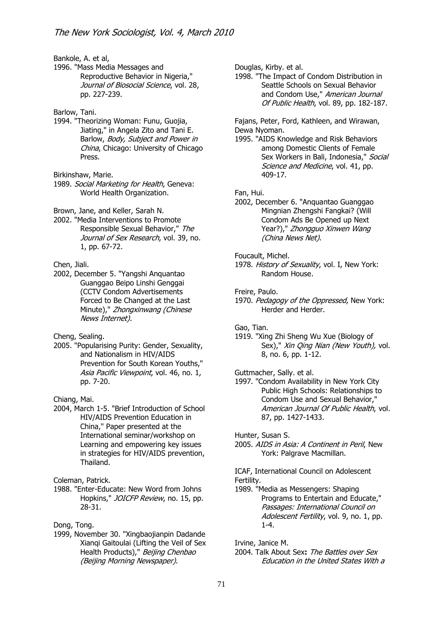Bankole, A. et al,

1996. "Mass Media Messages and Reproductive Behavior in Nigeria," Journal of Biosocial Science, vol. 28, pp. 227-239.

#### Barlow, Tani.

1994. "Theorizing Woman: Funu, Guojia, Jiating," in Angela Zito and Tani E. Barlow, Body, Subject and Power in China, Chicago: University of Chicago Press.

Birkinshaw, Marie.

1989. Social Marketing for Health, Geneva: World Health Organization.

Brown, Jane, and Keller, Sarah N.

2002. "Media Interventions to Promote Responsible Sexual Behavior," The Journal of Sex Research, vol. 39, no. 1, pp. 67-72.

#### Chen, Jiali.

2002, December 5. "Yangshi Anquantao Guanggao Beipo Linshi Genggai (CCTV Condom Advertisements Forced to Be Changed at the Last Minute)," Zhongxinwang (Chinese News Internet).

Cheng, Sealing.

2005. "Popularising Purity: Gender, Sexuality, and Nationalism in HIV/AIDS Prevention for South Korean Youths," Asia Pacific Viewpoint, vol. 46, no. 1, pp. 7-20.

Chiang, Mai.

2004, March 1-5. "Brief Introduction of School HIV/AIDS Prevention Education in China," Paper presented at the International seminar/workshop on Learning and empowering key issues in strategies for HIV/AIDS prevention, Thailand.

Coleman, Patrick.

1988. "Enter-Educate: New Word from Johns Hopkins," JOICFP Review, no. 15, pp. 28-31.

Dong, Tong.

1999, November 30. "Xingbaojianpin Dadande Xianqi Gaitoulai (Lifting the Veil of Sex Health Products)," Beijing Chenbao (Beijing Morning Newspaper).

Douglas, Kirby. et al.

1998. "The Impact of Condom Distribution in Seattle Schools on Sexual Behavior and Condom Use," American Journal Of Public Health, vol. 89, pp. 182-187.

Fajans, Peter, Ford, Kathleen, and Wirawan, Dewa Nyoman.

1995. "AIDS Knowledge and Risk Behaviors among Domestic Clients of Female Sex Workers in Bali, Indonesia," Social Science and Medicine, vol. 41, pp. 409-17.

Fan, Hui.

2002, December 6. "Anquantao Guanggao Mingnian Zhengshi Fangkai? (Will Condom Ads Be Opened up Next Year?)," Zhongguo Xinwen Wang (China News Net).

#### Foucault, Michel.

1978. History of Sexuality, vol. I, New York: Random House.

Freire, Paulo.

1970. Pedagogy of the Oppressed, New York: Herder and Herder.

Gao, Tian.

- 1919. "Xing Zhi Sheng Wu Xue (Biology of Sex)," Xin Qing Nian (New Youth), vol. 8, no. 6, pp. 1-12.
- Guttmacher, Sally. et al.
- 1997. "Condom Availability in New York City Public High Schools: Relationships to Condom Use and Sexual Behavior," American Journal Of Public Health, vol. 87, pp. 1427-1433.

Hunter, Susan S.

2005. AIDS in Asia: A Continent in Peril, New York: Palgrave Macmillan.

ICAF, International Council on Adolescent Fertility.

1989. "Media as Messengers: Shaping Programs to Entertain and Educate," Passages: International Council on Adolescent Fertility, vol. 9, no. 1, pp. 1-4.

Irvine, Janice M.

2004. Talk About Sex**:** The Battles over Sex Education in the United States With a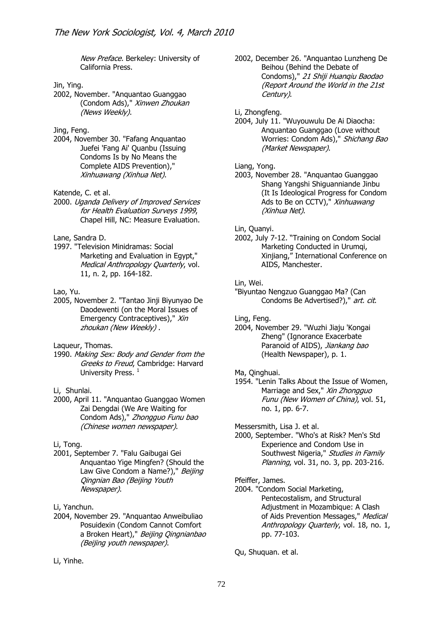New Preface. Berkeley: University of California Press.

#### Jin, Ying.

2002, November. "Anquantao Guanggao (Condom Ads)," Xinwen Zhoukan (News Weekly).

## Jing, Feng.

2004, November 30. "Fafang Anquantao Juefei 'Fang Ai' Quanbu (Issuing Condoms Is by No Means the Complete AIDS Prevention)," Xinhuawang (Xinhua Net).

## Katende, C. et al.

2000. Uganda Delivery of Improved Services for Health Evaluation Surveys 1999, Chapel Hill, NC: Measure Evaluation.

#### Lane, Sandra D.

1997. "Television Minidramas: Social Marketing and Evaluation in Egypt," Medical Anthropology Quarterly, vol. 11, n. 2, pp. 164-182.

## Lao, Yu.

2005, November 2. "Tantao Jinji Biyunyao De Daodewenti (on the Moral Issues of Emergency Contraceptives)," Xin zhoukan (New Weekly) .

Laqueur, Thomas.

1990. Making Sex: Body and Gender from the Greeks to Freud, Cambridge: Harvard University Press.<sup>1</sup>

#### Li, Shunlai.

2000, April 11. "Anquantao Guanggao Women Zai Dengdai (We Are Waiting for Condom Ads)," Zhongguo Funu bao (Chinese women newspaper).

## Li, Tong.

2001, September 7. "Falu Gaibugai Gei Anquantao Yige Mingfen? (Should the Law Give Condom a Name?)," Beijing Qingnian Bao (Beijing Youth Newspaper).

#### Li, Yanchun.

2004, November 29. "Anquantao Anweibuliao Posuidexin (Condom Cannot Comfort a Broken Heart)," Beijing Qingnianbao (Beijing youth newspaper).

2002, December 26. "Anquantao Lunzheng De Beihou (Behind the Debate of Condoms)," 21 Shiji Huanqiu Baodao (Report Around the World in the 21st Century).

#### Li, Zhongfeng.

2004, July 11. "Wuyouwulu De Ai Diaocha: Anquantao Guanggao (Love without Worries: Condom Ads)," Shichang Bao (Market Newspaper).

#### Liang, Yong.

2003, November 28. "Anquantao Guanggao Shang Yangshi Shiguanniande Jinbu (It Is Ideological Progress for Condom Ads to Be on CCTV)," Xinhuawang (Xinhua Net).

### Lin, Quanyi.

2002, July 7-12. "Training on Condom Social Marketing Conducted in Urumqi, Xinjiang," International Conference on AIDS, Manchester.

#### Lin, Wei.

"Biyuntao Nengzuo Guanggao Ma? (Can Condoms Be Advertised?)," art. cit.

#### Ling, Feng.

- 2004, November 29. "Wuzhi Jiaju 'Kongai Zheng" (Ignorance Exacerbate Paranoid of AIDS), Jiankang bao (Health Newspaper), p. 1.
- Ma, Qinghuai.
- 1954. "Lenin Talks About the Issue of Women, Marriage and Sex," Xin Zhongguo Funu (New Women of China), vol. 51, no. 1, pp. 6-7.

Messersmith, Lisa J. et al.

2000, September. "Who's at Risk? Men's Std Experience and Condom Use in Southwest Nigeria," Studies in Family Planning, vol. 31, no. 3, pp. 203-216.

### Pfeiffer, James.

2004. "Condom Social Marketing, Pentecostalism, and Structural Adjustment in Mozambique: A Clash of Aids Prevention Messages," Medical Anthropology Quarterly, vol. 18, no. 1, pp. 77-103.

Qu, Shuquan. et al.

Li, Yinhe.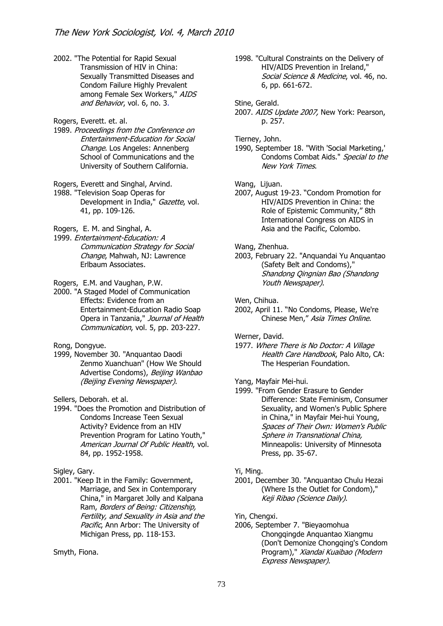2002. "The Potential for Rapid Sexual Transmission of HIV in China: Sexually Transmitted Diseases and Condom Failure Highly Prevalent among Female Sex Workers," AIDS and Behavior, vol. 6, no. 3.

Rogers, Everett. et. al.

- 1989. Proceedings from the Conference on Entertainment-Education for Social Change. Los Angeles: Annenberg School of Communications and the University of Southern California.
- Rogers, Everett and Singhal, Arvind.

1988. "Television Soap Operas for Development in India," Gazette, vol. 41, pp. 109-126.

Rogers, E. M. and Singhal, A.

1999. Entertainment-Education: A Communication Strategy for Social Change, Mahwah, NJ: Lawrence Erlbaum Associates.

Rogers, E.M. and Vaughan, P.W.

2000. "A Staged Model of Communication Effects: Evidence from an Entertainment-Education Radio Soap Opera in Tanzania," Journal of Health Communication, vol. 5, pp. 203-227.

Rong, Dongyue.

1999, November 30. "Anquantao Daodi Zenmo Xuanchuan" (How We Should Advertise Condoms), Beijing Wanbao (Beijing Evening Newspaper).

Sellers, Deborah. et al.

- 1994. "Does the Promotion and Distribution of Condoms Increase Teen Sexual Activity? Evidence from an HIV Prevention Program for Latino Youth," American Journal Of Public Health, vol. 84, pp. 1952-1958.
- Sigley, Gary.
- 2001. "Keep It in the Family: Government, Marriage, and Sex in Contemporary China," in Margaret Jolly and Kalpana Ram, Borders of Being: Citizenship, Fertility, and Sexuality in Asia and the Pacific, Ann Arbor: The University of Michigan Press, pp. 118-153.

Smyth, Fiona.

- 1998. "Cultural Constraints on the Delivery of HIV/AIDS Prevention in Ireland," Social Science & Medicine, vol. 46, no. 6, pp. 661-672.
- Stine, Gerald.
- 2007. AIDS Update 2007, New York: Pearson, p. 257.

Tierney, John.

1990, September 18. "With 'Social Marketing,' Condoms Combat Aids." Special to the New York Times.

Wang, Lijuan.

- 2007, August 19-23. "Condom Promotion for HIV/AIDS Prevention in China: the Role of Epistemic Community," 8th International Congress on AIDS in Asia and the Pacific, Colombo.
- Wang, Zhenhua.
- 2003, February 22. "Anquandai Yu Anquantao (Safety Belt and Condoms)," Shandong Qingnian Bao (Shandong Youth Newspaper).

Wen, Chihua.

2002, April 11. "No Condoms, Please, We're Chinese Men," Asia Times Online.

Werner, David.

1977. Where There is No Doctor: A Village Health Care Handbook, Palo Alto, CA: The Hesperian Foundation.

Yang, Mayfair Mei-hui.

1999. "From Gender Erasure to Gender Difference: State Feminism, Consumer Sexuality, and Women's Public Sphere in China," in Mayfair Mei-hui Young, Spaces of Their Own: Women's Public Sphere in Transnational China, Minneapolis: University of Minnesota Press, pp. 35-67.

#### Yi, Ming.

2001, December 30. "Anquantao Chulu Hezai (Where Is the Outlet for Condom)," Keji Ribao (Science Daily).

Yin, Chengxi.

2006, September 7. "Bieyaomohua Chongqingde Anquantao Xiangmu (Don't Demonize Chongqing's Condom Program)," Xiandai Kuaibao (Modern Express Newspaper).